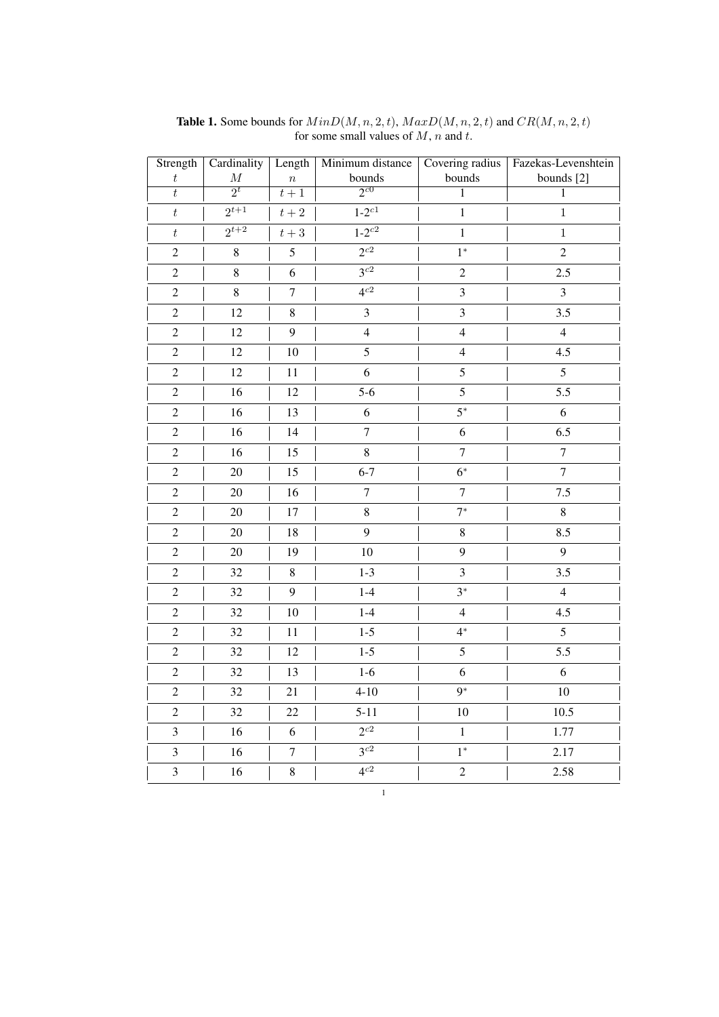| Strength                | Cardinality         | Length           | Minimum distance    | Covering radius         | Fazekas-Levenshtein |
|-------------------------|---------------------|------------------|---------------------|-------------------------|---------------------|
| $\boldsymbol{t}$        | $\cal M$            | $\boldsymbol{n}$ | bounds              | bounds                  | bounds [2]          |
| $\overline{t}$          | $\overline{2^t}$    | $t+1$            | $2^{c0}$            | $\overline{1}$          | $\,1$               |
| $\boldsymbol{t}$        | $\frac{2^{t+1}}{2}$ | $t+2$            | $1 - 2^{c1}$        | $\mathbf{1}$            | $\mathbf{1}$        |
| $\boldsymbol{t}$        | $2^{t+2}$           | $t+3$            | $1 - 2^{c2}$        | $\,1$                   | $\,1$               |
| $\sqrt{2}$              | $\,8\,$             | $\sqrt{5}$       | $\overline{2^{c2}}$ | $1^*$                   | $\overline{2}$      |
| $\boldsymbol{2}$        | $\,8\,$             | 6                | $3^{c2}$            | $\overline{c}$          | 2.5                 |
| $\overline{c}$          | $\,8\,$             | $\tau$           | $\overline{4^{c2}}$ | $\overline{\mathbf{3}}$ | $\mathfrak{Z}$      |
| $\sqrt{2}$              | 12                  | $\,8\,$          | 3                   | 3                       | 3.5                 |
| $\sqrt{2}$              | 12                  | 9                | $\overline{4}$      | $\overline{4}$          | $\overline{4}$      |
| $\sqrt{2}$              | 12                  | 10               | 5                   | $\overline{4}$          | 4.5                 |
| $\boldsymbol{2}$        | 12                  | $11\,$           | 6                   | 5                       | 5                   |
| $\overline{c}$          | 16                  | 12               | $5-6$               | 5                       | 5.5                 |
| $\overline{c}$          | 16                  | 13               | $\sqrt{6}$          | $5^*$                   | $\sqrt{6}$          |
| $\overline{c}$          | 16                  | 14               | $\overline{7}$      | 6                       | 6.5                 |
| $\sqrt{2}$              | 16                  | 15               | 8                   | $\boldsymbol{7}$        | $\boldsymbol{7}$    |
| $\sqrt{2}$              | 20                  | 15               | $6 - 7$             | $6*$                    | $\overline{7}$      |
| $\sqrt{2}$              | 20                  | 16               | $\tau$              | $\boldsymbol{7}$        | 7.5                 |
| $\boldsymbol{2}$        | 20                  | $17\,$           | $\,8\,$             | $7^*$                   | $\,8\,$             |
| $\sqrt{2}$              | 20                  | 18               | 9                   | $\,8\,$                 | 8.5                 |
| $\sqrt{2}$              | $20\,$              | 19               | 10                  | 9                       | 9                   |
| $\sqrt{2}$              | 32                  | $8\,$            | $1 - 3$             | 3                       | 3.5                 |
| $\boldsymbol{2}$        | 32                  | $\overline{9}$   | $1-4$               | $3^*$                   | $\overline{4}$      |
| $\overline{c}$          | 32                  | 10               | $1-4$               | $\overline{4}$          | 4.5                 |
| $\overline{c}$          | 32                  | 11               | $1-5$               | $4*$                    | $\overline{5}$      |
| $\overline{c}$          | 32                  | 12               | $1 - 5$             | 5                       | 5.5                 |
| $\sqrt{2}$              | 32                  | 13               | $1-6$               | 6                       | $\sqrt{6}$          |
| $\mathfrak{2}$          | 32                  | 21               | $4 - 10$            | $9*$                    | 10                  |
| $\sqrt{2}$              | 32                  | 22               | $5 - 11$            | 10                      | 10.5                |
| $\overline{\mathbf{3}}$ | 16                  | 6                | $\overline{2^{c2}}$ | $\mathbf{1}$            | 1.77                |
| $\overline{\mathbf{3}}$ | 16                  | $\boldsymbol{7}$ | $3^{c2}$            | $1^*$                   | 2.17                |
| $\overline{3}$          | 16                  | $\,8\,$          | $4^{c2}$            | $\overline{2}$          | 2.58                |

1

**Table 1.** Some bounds for  $MinD(M, n, 2, t)$ ,  $MaxD(M, n, 2, t)$  and  $CR(M, n, 2, t)$ for some small values of  $M$ ,  $n$  and  $t$ .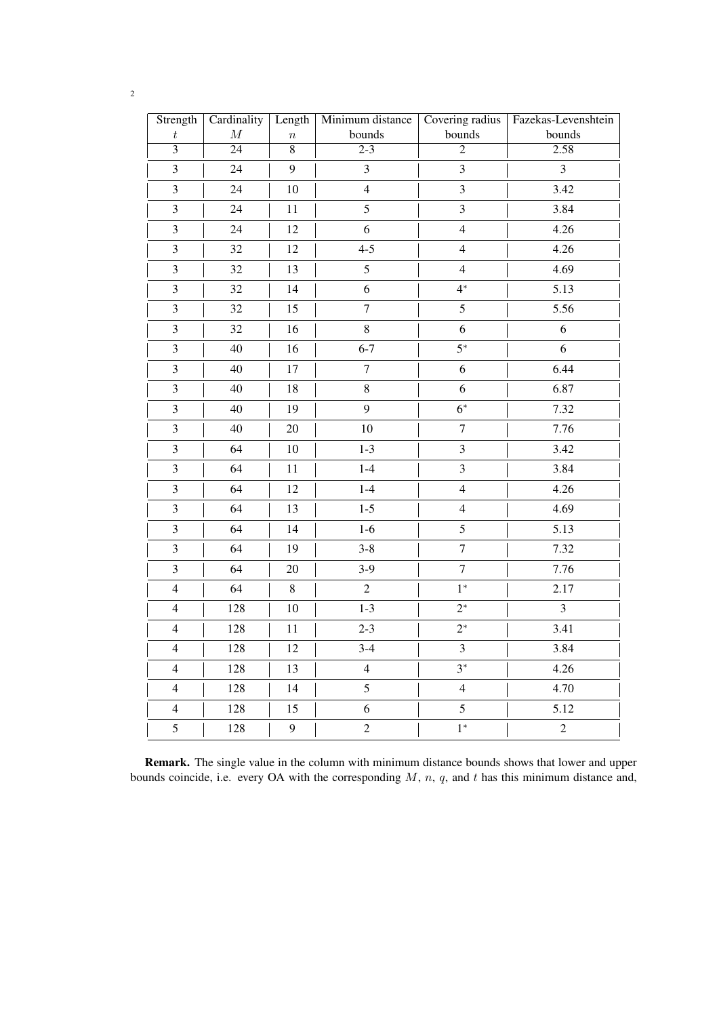| Strength                | Cardinality     | Length           | Minimum distance        | Covering radius         | Fazekas-Levenshtein |
|-------------------------|-----------------|------------------|-------------------------|-------------------------|---------------------|
| $\boldsymbol{t}$        | $\cal M$        | $\boldsymbol{n}$ | bounds                  | bounds                  | bounds              |
| $\overline{3}$          | $\overline{24}$ | $\overline{8}$   | $\overline{2-3}$        | $\overline{2}$          | 2.58                |
| $\overline{\mathbf{3}}$ | 24              | 9                | $\overline{\mathbf{3}}$ | $\overline{\mathbf{3}}$ | $\mathfrak{Z}$      |
| $\mathfrak{Z}$          | 24              | 10               | $\overline{4}$          | $\mathfrak{Z}$          | 3.42                |
| 3                       | 24              | 11               | 5                       | 3                       | 3.84                |
| $\mathfrak{Z}$          | $24\,$          | 12               | 6                       | $\overline{4}$          | 4.26                |
| $\mathfrak{Z}$          | 32              | 12               | $4 - 5$                 | $\overline{4}$          | 4.26                |
| $\overline{\mathbf{3}}$ | 32              | 13               | 5                       | $\overline{4}$          | 4.69                |
| $\mathfrak{Z}$          | 32              | 14               | 6                       | $4^*$                   | 5.13                |
| $\overline{\mathbf{3}}$ | 32              | 15               | $\overline{7}$          | 5                       | 5.56                |
| $\mathfrak{Z}$          | 32              | 16               | 8                       | $\boldsymbol{6}$        | 6                   |
| $\overline{\mathbf{3}}$ | 40              | 16               | $6 - 7$                 | $5^*$                   | $\sqrt{6}$          |
| $\overline{\mathbf{3}}$ | 40              | 17               | $\overline{7}$          | 6                       | 6.44                |
| $\overline{\mathbf{3}}$ | $40\,$          | 18               | $8\,$                   | 6                       | 6.87                |
| $\mathfrak{Z}$          | 40              | 19               | 9                       | $6*$                    | 7.32                |
| $\overline{\mathbf{3}}$ | 40              | 20               | 10                      | $\overline{7}$          | 7.76                |
| $\overline{\mathbf{3}}$ | 64              | 10               | $1 - 3$                 | $\mathfrak{Z}$          | 3.42                |
| $\overline{3}$          | 64              | 11               | $1-4$                   | $\overline{3}$          | 3.84                |
| $\overline{\mathbf{3}}$ | 64              | 12               | $1-4$                   | $\overline{4}$          | 4.26                |
| $\mathfrak{Z}$          | 64              | 13               | $1 - 5$                 | $\overline{4}$          | 4.69                |
| $\overline{\mathbf{3}}$ | 64              | 14               | $1-6$                   | 5                       | 5.13                |
| 3                       | 64              | 19               | $3 - 8$                 | $\boldsymbol{7}$        | 7.32                |
| 3                       | 64              | 20               | $3-9$                   | $\overline{7}$          | 7.76                |
| $\overline{4}$          | 64              | $\,8\,$          | $\overline{c}$          | $1*$                    | 2.17                |
| $\overline{4}$          | 128             | 10               | $1 - 3$                 | $2^*$                   | $\mathfrak{Z}$      |
| $\overline{4}$          | 128             | 11               | $2 - 3$                 | $2^*$                   | 3.41                |
| $\overline{4}$          | 128             | 12               | $3-4$                   | $\mathfrak{Z}$          | 3.84                |
| $\overline{4}$          | 128             | 13               | $\overline{4}$          | $3^*$                   | 4.26                |
| $\overline{4}$          | 128             | 14               | 5                       | $\overline{4}$          | 4.70                |
| $\overline{4}$          | 128             | 15               | $\sqrt{6}$              | 5                       | 5.12                |
| 5                       | 128             | 9                | $\mathbf 2$             | $1*$                    | $\overline{c}$      |

Remark. The single value in the column with minimum distance bounds shows that lower and upper bounds coincide, i.e. every OA with the corresponding  $M$ ,  $n$ ,  $q$ , and  $t$  has this minimum distance and,